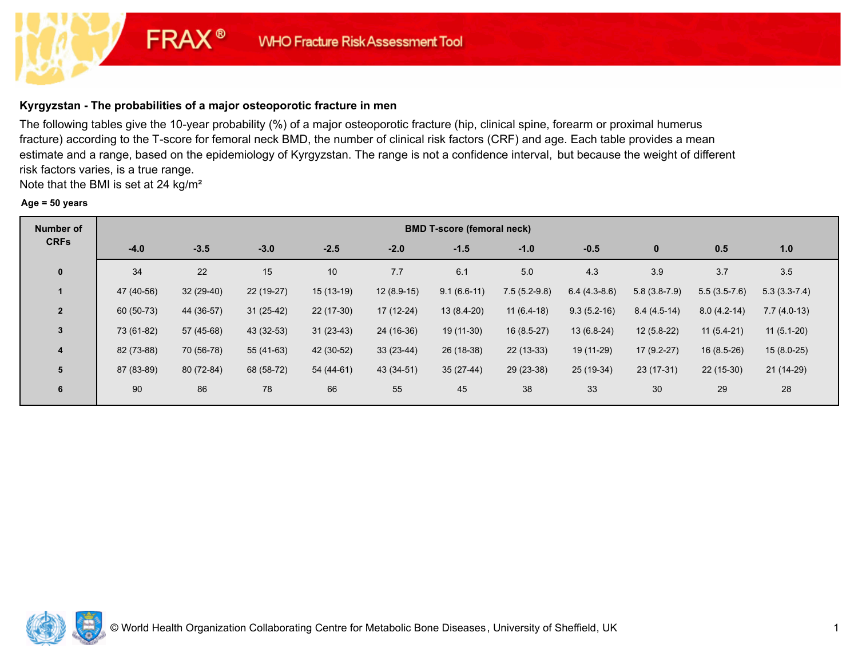# **Kyrgyzstan - The probabilities of a major osteoporotic fracture in men**

**FRAX®** 

The following tables give the 10-year probability (%) of a major osteoporotic fracture (hip, clinical spine, forearm or proximal humerus fracture) according to the T-score for femoral neck BMD, the number of clinical risk factors (CRF) and age. Each table provides a mean estimate and a range, based on the epidemiology of Kyrgyzstan. The range is not a confidence interval, but because the weight of different risk factors varies, is a true range.

Note that the BMI is set at 24 kg/m²

#### **Age = 50 years**

| <b>Number of</b> |            | <b>BMD T-score (femoral neck)</b> |             |             |              |               |                |                |                |                |                |  |  |  |
|------------------|------------|-----------------------------------|-------------|-------------|--------------|---------------|----------------|----------------|----------------|----------------|----------------|--|--|--|
| <b>CRFs</b>      | $-4.0$     | $-3.5$                            | $-3.0$      | $-2.5$      | $-2.0$       | $-1.5$        | $-1.0$         | $-0.5$         | $\mathbf{0}$   | 0.5            | 1.0            |  |  |  |
| $\mathbf 0$      | 34         | 22                                | 15          | 10          | 7.7          | 6.1           | 5.0            | 4.3            | 3.9            | 3.7            | 3.5            |  |  |  |
|                  | 47 (40-56) | $32(29-40)$                       | 22 (19-27)  | $15(13-19)$ | $12(8.9-15)$ | $9.1(6.6-11)$ | $7.5(5.2-9.8)$ | $6.4(4.3-8.6)$ | $5.8(3.8-7.9)$ | $5.5(3.5-7.6)$ | $5.3(3.3-7.4)$ |  |  |  |
| $\overline{2}$   | 60 (50-73) | 44 (36-57)                        | $31(25-42)$ | $22(17-30)$ | $17(12-24)$  | $13(8.4-20)$  | $11(6.4-18)$   | $9.3(5.2-16)$  | $8.4(4.5-14)$  | $8.0(4.2-14)$  | $7.7(4.0-13)$  |  |  |  |
| $\mathbf{3}$     | 73 (61-82) | 57 (45-68)                        | 43 (32-53)  | $31(23-43)$ | 24 (16-36)   | 19 (11-30)    | $16(8.5-27)$   | 13 (6.8-24)    | $12(5.8-22)$   | $11(5.4-21)$   | $11(5.1-20)$   |  |  |  |
| 4                | 82 (73-88) | 70 (56-78)                        | 55 (41-63)  | 42 (30-52)  | $33(23-44)$  | 26 (18-38)    | 22 (13-33)     | 19 (11-29)     | $17(9.2-27)$   | $16(8.5-26)$   | $15(8.0-25)$   |  |  |  |
| 5                | 87 (83-89) | 80 (72-84)                        | 68 (58-72)  | 54 (44-61)  | 43 (34-51)   | $35(27-44)$   | 29 (23-38)     | 25 (19-34)     | 23 (17-31)     | $22(15-30)$    | $21(14-29)$    |  |  |  |
| 6                | 90         | 86                                | 78          | 66          | 55           | 45            | 38             | 33             | 30             | 29             | 28             |  |  |  |

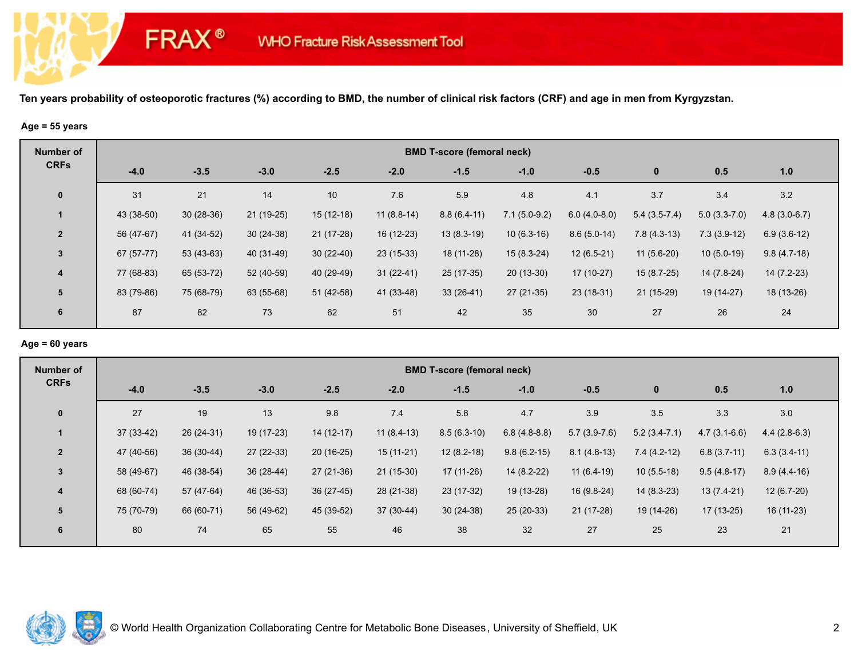## **Age = 55 years**

**FRAX®** 

| <b>Number of</b> |            | <b>BMD T-score (femoral neck)</b> |             |             |              |               |                |                |                |                |                |  |  |  |
|------------------|------------|-----------------------------------|-------------|-------------|--------------|---------------|----------------|----------------|----------------|----------------|----------------|--|--|--|
| <b>CRFs</b>      | $-4.0$     | $-3.5$                            | $-3.0$      | $-2.5$      | $-2.0$       | $-1.5$        | $-1.0$         | $-0.5$         | $\mathbf{0}$   | 0.5            | 1.0            |  |  |  |
| $\mathbf 0$      | 31         | 21                                | 14          | 10          | 7.6          | 5.9           | 4.8            | 4.1            | 3.7            | 3.4            | 3.2            |  |  |  |
|                  | 43 (38-50) | $30(28-36)$                       | $21(19-25)$ | $15(12-18)$ | $11(8.8-14)$ | $8.8(6.4-11)$ | $7.1(5.0-9.2)$ | $6.0(4.0-8.0)$ | $5.4(3.5-7.4)$ | $5.0(3.3-7.0)$ | $4.8(3.0-6.7)$ |  |  |  |
| $\overline{2}$   | 56 (47-67) | 41 (34-52)                        | $30(24-38)$ | $21(17-28)$ | 16 (12-23)   | $13(8.3-19)$  | $10(6.3-16)$   | $8.6(5.0-14)$  | $7.8(4.3-13)$  | $7.3(3.9-12)$  | $6.9(3.6-12)$  |  |  |  |
| $\mathbf{3}$     | 67 (57-77) | $53(43-63)$                       | 40 (31-49)  | $30(22-40)$ | $23(15-33)$  | 18 (11-28)    | $15(8.3-24)$   | $12(6.5-21)$   | $11(5.6-20)$   | $10(5.0-19)$   | $9.8(4.7-18)$  |  |  |  |
| $\overline{4}$   | 77 (68-83) | 65 (53-72)                        | 52 (40-59)  | 40 (29-49)  | $31(22-41)$  | $25(17-35)$   | $20(13-30)$    | 17 (10-27)     | 15 (8.7-25)    | 14 (7.8-24)    | $14(7.2-23)$   |  |  |  |
| $5\phantom{1}$   | 83 (79-86) | 75 (68-79)                        | 63 (55-68)  | $51(42-58)$ | 41 (33-48)   | $33(26-41)$   | $27(21-35)$    | $23(18-31)$    | $21(15-29)$    | 19 (14-27)     | 18 (13-26)     |  |  |  |
| $6\phantom{1}$   | 87         | 82                                | 73          | 62          | 51           | 42            | 35             | 30             | 27             | 26             | 24             |  |  |  |

## **Age = 60 years**

| Number of               | <b>BMD T-score (femoral neck)</b> |             |             |             |              |               |                |                |                |                |                |  |  |
|-------------------------|-----------------------------------|-------------|-------------|-------------|--------------|---------------|----------------|----------------|----------------|----------------|----------------|--|--|
| <b>CRFs</b>             | $-4.0$                            | $-3.5$      | $-3.0$      | $-2.5$      | $-2.0$       | $-1.5$        | $-1.0$         | $-0.5$         | $\bf{0}$       | 0.5            | 1.0            |  |  |
| $\mathbf 0$             | 27                                | 19          | 13          | 9.8         | 7.4          | 5.8           | 4.7            | 3.9            | 3.5            | 3.3            | 3.0            |  |  |
| 1                       | $37(33-42)$                       | 26 (24-31)  | 19 (17-23)  | $14(12-17)$ | $11(8.4-13)$ | $8.5(6.3-10)$ | $6.8(4.8-8.8)$ | $5.7(3.9-7.6)$ | $5.2(3.4-7.1)$ | $4.7(3.1-6.6)$ | $4.4(2.8-6.3)$ |  |  |
| $\overline{2}$          | 47 (40-56)                        | $36(30-44)$ | 27 (22-33)  | $20(16-25)$ | $15(11-21)$  | $12(8.2-18)$  | $9.8(6.2-15)$  | $8.1(4.8-13)$  | $7.4(4.2-12)$  | $6.8(3.7-11)$  | $6.3(3.4-11)$  |  |  |
| 3                       | 58 (49-67)                        | 46 (38-54)  | $36(28-44)$ | $27(21-36)$ | $21(15-30)$  | $17(11-26)$   | 14 (8.2-22)    | $11(6.4-19)$   | $10(5.5-18)$   | $9.5(4.8-17)$  | $8.9(4.4-16)$  |  |  |
| $\overline{\mathbf{4}}$ | 68 (60-74)                        | 57 (47-64)  | 46 (36-53)  | $36(27-45)$ | 28 (21-38)   | 23 (17-32)    | 19 (13-28)     | $16(9.8-24)$   | $14(8.3-23)$   | $13(7.4-21)$   | $12(6.7-20)$   |  |  |
| 5                       | 75 (70-79)                        | 66 (60-71)  | 56 (49-62)  | 45 (39-52)  | 37 (30-44)   | $30(24-38)$   | $25(20-33)$    | 21 (17-28)     | 19 (14-26)     | $17(13-25)$    | 16 (11-23)     |  |  |
| 6                       | 80                                | 74          | 65          | 55          | 46           | 38            | 32             | 27             | 25             | 23             | 21             |  |  |

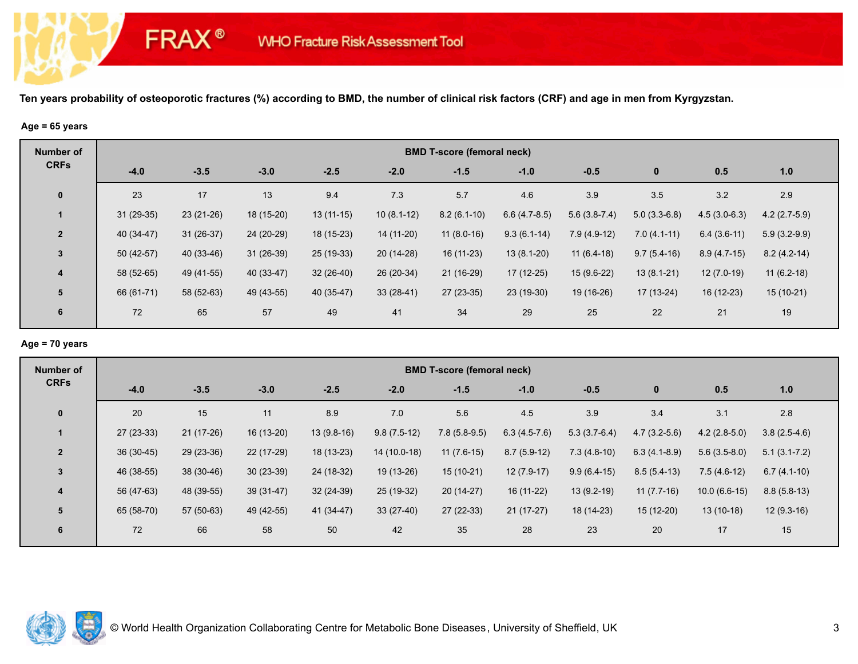## **Age = 65 years**

**FRAX®** 

| <b>Number of</b> |             | <b>BMD T-score (femoral neck)</b> |             |             |              |               |                |                |                |                |                |  |  |  |
|------------------|-------------|-----------------------------------|-------------|-------------|--------------|---------------|----------------|----------------|----------------|----------------|----------------|--|--|--|
| <b>CRFs</b>      | $-4.0$      | $-3.5$                            | $-3.0$      | $-2.5$      | $-2.0$       | $-1.5$        | $-1.0$         | $-0.5$         | $\mathbf 0$    | 0.5            | 1.0            |  |  |  |
| $\mathbf 0$      | 23          | 17                                | 13          | 9.4         | 7.3          | 5.7           | 4.6            | 3.9            | 3.5            | 3.2            | 2.9            |  |  |  |
|                  | $31(29-35)$ | $23(21-26)$                       | 18 (15-20)  | $13(11-15)$ | $10(8.1-12)$ | $8.2(6.1-10)$ | $6.6(4.7-8.5)$ | $5.6(3.8-7.4)$ | $5.0(3.3-6.8)$ | $4.5(3.0-6.3)$ | $4.2(2.7-5.9)$ |  |  |  |
| $\overline{2}$   | 40 (34-47)  | $31(26-37)$                       | 24 (20-29)  | 18 (15-23)  | 14 (11-20)   | $11(8.0-16)$  | $9.3(6.1-14)$  | $7.9(4.9-12)$  | $7.0(4.1-11)$  | $6.4(3.6-11)$  | $5.9(3.2-9.9)$ |  |  |  |
| $\mathbf{3}$     | $50(42-57)$ | 40 (33-46)                        | $31(26-39)$ | 25 (19-33)  | 20 (14-28)   | 16 (11-23)    | $13(8.1-20)$   | $11(6.4-18)$   | $9.7(5.4-16)$  | $8.9(4.7-15)$  | $8.2(4.2-14)$  |  |  |  |
| $\overline{4}$   | 58 (52-65)  | 49 (41-55)                        | 40 (33-47)  | $32(26-40)$ | 26 (20-34)   | 21 (16-29)    | 17 (12-25)     | $15(9.6-22)$   | $13(8.1-21)$   | $12(7.0-19)$   | $11(6.2-18)$   |  |  |  |
| 5                | 66 (61-71)  | 58 (52-63)                        | 49 (43-55)  | 40 (35-47)  | $33(28-41)$  | $27(23-35)$   | 23 (19-30)     | 19 (16-26)     | 17 (13-24)     | 16 (12-23)     | $15(10-21)$    |  |  |  |
| 6                | 72          | 65                                | 57          | 49          | 41           | 34            | 29             | 25             | 22             | 21             | 19             |  |  |  |

## **Age = 70 years**

| Number of               | <b>BMD T-score (femoral neck)</b> |             |             |              |               |                |                |                |                |                |                  |  |  |
|-------------------------|-----------------------------------|-------------|-------------|--------------|---------------|----------------|----------------|----------------|----------------|----------------|------------------|--|--|
| <b>CRFs</b>             | $-4.0$                            | $-3.5$      | $-3.0$      | $-2.5$       | $-2.0$        | $-1.5$         | $-1.0$         | $-0.5$         | $\bf{0}$       | 0.5            | 1.0              |  |  |
| $\mathbf 0$             | 20                                | 15          | 11          | 8.9          | 7.0           | 5.6            | 4.5            | 3.9            | 3.4            | 3.1            | 2.8              |  |  |
|                         | $27(23-33)$                       | $21(17-26)$ | 16 (13-20)  | $13(9.8-16)$ | $9.8(7.5-12)$ | $7.8(5.8-9.5)$ | $6.3(4.5-7.6)$ | $5.3(3.7-6.4)$ | $4.7(3.2-5.6)$ | $4.2(2.8-5.0)$ | $3.8(2.5-4.6)$   |  |  |
| $\overline{2}$          | $36(30-45)$                       | 29 (23-36)  | 22 (17-29)  | $18(13-23)$  | 14 (10.0-18)  | $11(7.6-15)$   | $8.7(5.9-12)$  | $7.3(4.8-10)$  | $6.3(4.1-8.9)$ | $5.6(3.5-8.0)$ | $5.1(3.1 - 7.2)$ |  |  |
| 3                       | 46 (38-55)                        | 38 (30-46)  | $30(23-39)$ | 24 (18-32)   | 19 (13-26)    | $15(10-21)$    | $12(7.9-17)$   | $9.9(6.4-15)$  | $8.5(5.4-13)$  | $7.5(4.6-12)$  | $6.7(4.1-10)$    |  |  |
| $\overline{\mathbf{4}}$ | 56 (47-63)                        | 48 (39-55)  | $39(31-47)$ | $32(24-39)$  | 25 (19-32)    | $20(14-27)$    | 16 (11-22)     | $13(9.2-19)$   | $11(7.7-16)$   | $10.0(6.6-15)$ | $8.8(5.8-13)$    |  |  |
| 5                       | 65 (58-70)                        | 57 (50-63)  | 49 (42-55)  | 41 (34-47)   | $33(27-40)$   | $27(22-33)$    | $21(17-27)$    | 18 (14-23)     | $15(12-20)$    | $13(10-18)$    | $12(9.3-16)$     |  |  |
| 6                       | 72                                | 66          | 58          | 50           | 42            | 35             | 28             | 23             | 20             | 17             | 15               |  |  |

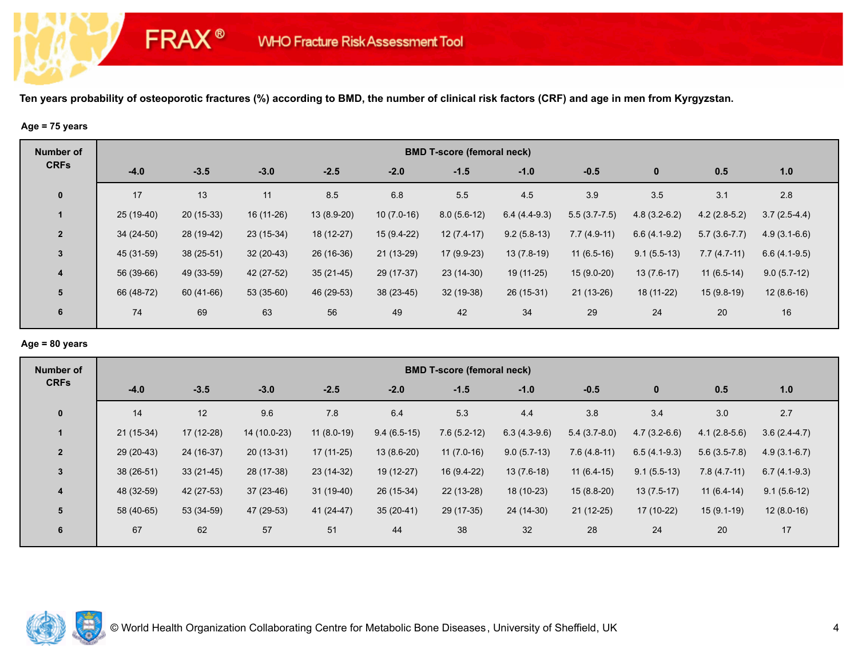#### **Age = 75 years**

**FRAX®** 

| <b>Number of</b> |             | <b>BMD T-score (femoral neck)</b> |             |             |              |               |                |                |                |                |                |  |  |  |
|------------------|-------------|-----------------------------------|-------------|-------------|--------------|---------------|----------------|----------------|----------------|----------------|----------------|--|--|--|
| <b>CRFs</b>      | $-4.0$      | $-3.5$                            | $-3.0$      | $-2.5$      | $-2.0$       | $-1.5$        | $-1.0$         | $-0.5$         | $\mathbf{0}$   | 0.5            | 1.0            |  |  |  |
| $\mathbf 0$      | 17          | 13                                | 11          | 8.5         | 6.8          | 5.5           | 4.5            | 3.9            | 3.5            | 3.1            | 2.8            |  |  |  |
|                  | $25(19-40)$ | $20(15-33)$                       | 16 (11-26)  | 13 (8.9-20) | $10(7.0-16)$ | $8.0(5.6-12)$ | $6.4(4.4-9.3)$ | $5.5(3.7-7.5)$ | $4.8(3.2-6.2)$ | $4.2(2.8-5.2)$ | $3.7(2.5-4.4)$ |  |  |  |
| $\overline{2}$   | $34(24-50)$ | 28 (19-42)                        | 23 (15-34)  | 18 (12-27)  | 15 (9.4-22)  | $12(7.4-17)$  | $9.2(5.8-13)$  | $7.7(4.9-11)$  | $6.6(4.1-9.2)$ | $5.7(3.6-7.7)$ | $4.9(3.1-6.6)$ |  |  |  |
| $\mathbf{3}$     | 45 (31-59)  | 38 (25-51)                        | $32(20-43)$ | 26 (16-36)  | $21(13-29)$  | 17 (9.9-23)   | $13(7.8-19)$   | $11(6.5-16)$   | $9.1(5.5-13)$  | $7.7(4.7-11)$  | $6.6(4.1-9.5)$ |  |  |  |
| $\overline{4}$   | 56 (39-66)  | 49 (33-59)                        | 42 (27-52)  | $35(21-45)$ | 29 (17-37)   | $23(14-30)$   | 19 (11-25)     | 15 (9.0-20)    | $13(7.6-17)$   | $11(6.5-14)$   | $9.0(5.7-12)$  |  |  |  |
| $5\phantom{1}$   | 66 (48-72)  | 60 (41-66)                        | 53 (35-60)  | 46 (29-53)  | $38(23-45)$  | $32(19-38)$   | 26 (15-31)     | $21(13-26)$    | 18 (11-22)     | $15(9.8-19)$   | $12(8.6-16)$   |  |  |  |
| $6\phantom{1}$   | 74          | 69                                | 63          | 56          | 49           | 42            | 34             | 29             | 24             | 20             | 16             |  |  |  |

## **Age = 80 years**

| Number of               |            | <b>BMD T-score (femoral neck)</b> |              |              |               |               |                |                |                |                |                |  |  |  |
|-------------------------|------------|-----------------------------------|--------------|--------------|---------------|---------------|----------------|----------------|----------------|----------------|----------------|--|--|--|
| <b>CRFs</b>             | $-4.0$     | $-3.5$                            | $-3.0$       | $-2.5$       | $-2.0$        | $-1.5$        | $-1.0$         | $-0.5$         | $\bf{0}$       | 0.5            | 1.0            |  |  |  |
| $\mathbf 0$             | 14         | 12                                | 9.6          | 7.8          | 6.4           | 5.3           | 4.4            | 3.8            | 3.4            | 3.0            | 2.7            |  |  |  |
| $\mathbf 1$             | 21 (15-34) | 17 (12-28)                        | 14 (10.0-23) | $11(8.0-19)$ | $9.4(6.5-15)$ | $7.6(5.2-12)$ | $6.3(4.3-9.6)$ | $5.4(3.7-8.0)$ | $4.7(3.2-6.6)$ | $4.1(2.8-5.6)$ | $3.6(2.4-4.7)$ |  |  |  |
| $\overline{2}$          | 29 (20-43) | 24 (16-37)                        | $20(13-31)$  | $17(11-25)$  | $13(8.6-20)$  | $11(7.0-16)$  | $9.0(5.7-13)$  | $7.6(4.8-11)$  | $6.5(4.1-9.3)$ | $5.6(3.5-7.8)$ | $4.9(3.1-6.7)$ |  |  |  |
| $\mathbf{3}$            | 38 (26-51) | $33(21-45)$                       | 28 (17-38)   | $23(14-32)$  | 19 (12-27)    | 16 (9.4-22)   | $13(7.6-18)$   | $11(6.4-15)$   | $9.1(5.5-13)$  | $7.8(4.7-11)$  | $6.7(4.1-9.3)$ |  |  |  |
| $\overline{\mathbf{4}}$ | 48 (32-59) | 42 (27-53)                        | $37(23-46)$  | $31(19-40)$  | 26 (15-34)    | 22 (13-28)    | 18 (10-23)     | $15(8.8-20)$   | $13(7.5-17)$   | $11(6.4-14)$   | $9.1(5.6-12)$  |  |  |  |
| 5                       | 58 (40-65) | 53 (34-59)                        | 47 (29-53)   | 41 (24-47)   | $35(20-41)$   | 29 (17-35)    | 24 (14-30)     | $21(12-25)$    | 17 (10-22)     | $15(9.1-19)$   | $12(8.0-16)$   |  |  |  |
| 6                       | 67         | 62                                | 57           | 51           | 44            | 38            | 32             | 28             | 24             | 20             | 17             |  |  |  |